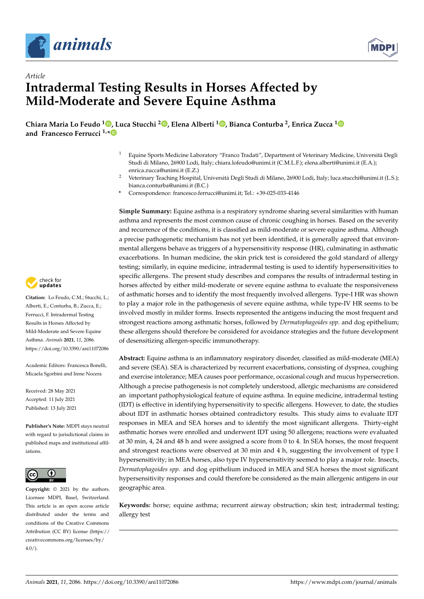



# *Article* **Intradermal Testing Results in Horses Affected by Mild-Moderate and Severe Equine Asthma**

**Chiara Maria Lo Feudo <sup>1</sup> [,](https://orcid.org/0000-0002-9964-2753) Luca Stucchi <sup>2</sup> [,](https://orcid.org/0000-0002-2056-5426) Elena Alberti <sup>1</sup> [,](https://orcid.org/0000-0001-7819-6267) Bianca Conturba <sup>2</sup> , Enrica Zucca [1](https://orcid.org/0000-0003-0494-1329) and Francesco Ferrucci 1,[\\*](https://orcid.org/0000-0002-7285-9880)**

- <sup>1</sup> Equine Sports Medicine Laboratory "Franco Tradati", Department of Veterinary Medicine, Università Degli Studi di Milano, 26900 Lodi, Italy; chiara.lofeudo@unimi.it (C.M.L.F.); elena.alberti@unimi.it (E.A.); enrica.zucca@unimi.it (E.Z.)
- <sup>2</sup> Veterinary Teaching Hospital, Università Degli Studi di Milano, 26900 Lodi, Italy; luca.stucchi@unimi.it (L.S.); bianca.conturba@unimi.it (B.C.)
- **\*** Correspondence: francesco.ferrucci@unimi.it; Tel.: +39-025-033-4146

**Simple Summary:** Equine asthma is a respiratory syndrome sharing several similarities with human asthma and represents the most common cause of chronic coughing in horses. Based on the severity and recurrence of the conditions, it is classified as mild-moderate or severe equine asthma. Although a precise pathogenetic mechanism has not yet been identified, it is generally agreed that environmental allergens behave as triggers of a hypersensitivity response (HR), culminating in asthmatic exacerbations. In human medicine, the skin prick test is considered the gold standard of allergy testing; similarly, in equine medicine, intradermal testing is used to identify hypersensitivities to specific allergens. The present study describes and compares the results of intradermal testing in horses affected by either mild-moderate or severe equine asthma to evaluate the responsiveness of asthmatic horses and to identify the most frequently involved allergens. Type-I HR was shown to play a major role in the pathogenesis of severe equine asthma, while type-IV HR seems to be involved mostly in milder forms. Insects represented the antigens inducing the most frequent and strongest reactions among asthmatic horses, followed by *Dermatophagoides spp.* and dog epithelium; these allergens should therefore be considered for avoidance strategies and the future development of desensitizing allergen-specific immunotherapy.

**Abstract:** Equine asthma is an inflammatory respiratory disorder, classified as mild-moderate (MEA) and severe (SEA). SEA is characterized by recurrent exacerbations, consisting of dyspnea, coughing and exercise intolerance; MEA causes poor performance, occasional cough and mucus hypersecretion. Although a precise pathogenesis is not completely understood, allergic mechanisms are considered an important pathophysiological feature of equine asthma. In equine medicine, intradermal testing (IDT) is effective in identifying hypersensitivity to specific allergens. However, to date, the studies about IDT in asthmatic horses obtained contradictory results. This study aims to evaluate IDT responses in MEA and SEA horses and to identify the most significant allergens. Thirty-eight asthmatic horses were enrolled and underwent IDT using 50 allergens; reactions were evaluated at 30 min, 4, 24 and 48 h and were assigned a score from 0 to 4. In SEA horses, the most frequent and strongest reactions were observed at 30 min and 4 h, suggesting the involvement of type I hypersensitivity; in MEA horses, also type IV hypersensitivity seemed to play a major role. Insects, *Dermatophagoides spp.* and dog epithelium induced in MEA and SEA horses the most significant hypersensitivity responses and could therefore be considered as the main allergenic antigens in our geographic area.

**Keywords:** horse; equine asthma; recurrent airway obstruction; skin test; intradermal testing; allergy test



**Citation:** Lo Feudo, C.M.; Stucchi, L.; Alberti, E.; Conturba, B.; Zucca, E.; Ferrucci, F. Intradermal Testing Results in Horses Affected by Mild-Moderate and Severe Equine Asthma. *Animals* **2021**, *11*, 2086. <https://doi.org/10.3390/ani11072086>

Academic Editors: Francesca Bonelli, Micaela Sgorbini and Irene Nocera

Received: 28 May 2021 Accepted: 11 July 2021 Published: 13 July 2021

**Publisher's Note:** MDPI stays neutral with regard to jurisdictional claims in published maps and institutional affiliations.



**Copyright:** © 2021 by the authors. Licensee MDPI, Basel, Switzerland. This article is an open access article distributed under the terms and conditions of the Creative Commons Attribution (CC BY) license (https:/[/](https://creativecommons.org/licenses/by/4.0/) [creativecommons.org/licenses/by/](https://creativecommons.org/licenses/by/4.0/)  $4.0/$ ).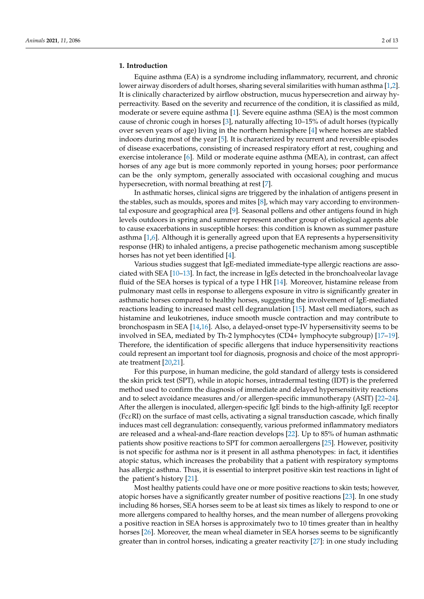# **1. Introduction**

Equine asthma (EA) is a syndrome including inflammatory, recurrent, and chronic lower airway disorders of adult horses, sharing several similarities with human asthma [\[1](#page-10-0)[,2\]](#page-10-1). It is clinically characterized by airflow obstruction, mucus hypersecretion and airway hyperreactivity. Based on the severity and recurrence of the condition, it is classified as mild, moderate or severe equine asthma [\[1\]](#page-10-0). Severe equine asthma (SEA) is the most common cause of chronic cough in horses [\[3\]](#page-10-2), naturally affecting 10–15% of adult horses (typically over seven years of age) living in the northern hemisphere [\[4\]](#page-10-3) where horses are stabled indoors during most of the year [\[5\]](#page-10-4). It is characterized by recurrent and reversible episodes of disease exacerbations, consisting of increased respiratory effort at rest, coughing and exercise intolerance [\[6\]](#page-10-5). Mild or moderate equine asthma (MEA), in contrast, can affect horses of any age but is more commonly reported in young horses; poor performance can be the only symptom, generally associated with occasional coughing and mucus hypersecretion, with normal breathing at rest [\[7\]](#page-10-6).

In asthmatic horses, clinical signs are triggered by the inhalation of antigens present in the stables, such as moulds, spores and mites [\[8\]](#page-10-7), which may vary according to environmental exposure and geographical area [\[9\]](#page-10-8). Seasonal pollens and other antigens found in high levels outdoors in spring and summer represent another group of etiological agents able to cause exacerbations in susceptible horses: this condition is known as summer pasture asthma  $[1,6]$  $[1,6]$ . Although it is generally agreed upon that EA represents a hypersensitivity response (HR) to inhaled antigens, a precise pathogenetic mechanism among susceptible horses has not yet been identified [\[4\]](#page-10-3).

Various studies suggest that IgE-mediated immediate-type allergic reactions are associated with SEA [\[10–](#page-10-9)[13\]](#page-10-10). In fact, the increase in IgEs detected in the bronchoalveolar lavage fluid of the SEA horses is typical of a type I HR [\[14\]](#page-10-11). Moreover, histamine release from pulmonary mast cells in response to allergens exposure in vitro is significantly greater in asthmatic horses compared to healthy horses, suggesting the involvement of IgE-mediated reactions leading to increased mast cell degranulation [\[15\]](#page-10-12). Mast cell mediators, such as histamine and leukotrienes, induce smooth muscle contraction and may contribute to bronchospasm in SEA [\[14,](#page-10-11)[16\]](#page-10-13). Also, a delayed-onset type-IV hypersensitivity seems to be involved in SEA, mediated by Th-2 lymphocytes (CD4+ lymphocyte subgroup) [\[17](#page-10-14)[–19\]](#page-11-0). Therefore, the identification of specific allergens that induce hypersensitivity reactions could represent an important tool for diagnosis, prognosis and choice of the most appropriate treatment [\[20,](#page-11-1)[21\]](#page-11-2).

For this purpose, in human medicine, the gold standard of allergy tests is considered the skin prick test (SPT), while in atopic horses, intradermal testing (IDT) is the preferred method used to confirm the diagnosis of immediate and delayed hypersensitivity reactions and to select avoidance measures and/or allergen-specific immunotherapy (ASIT) [\[22](#page-11-3)[–24\]](#page-11-4). After the allergen is inoculated, allergen-specific IgE binds to the high-affinity IgE receptor (FcεRI) on the surface of mast cells, activating a signal transduction cascade, which finally induces mast cell degranulation: consequently, various preformed inflammatory mediators are released and a wheal-and-flare reaction develops [\[22\]](#page-11-3). Up to 85% of human asthmatic patients show positive reactions to SPT for common aeroallergens [\[25\]](#page-11-5). However, positivity is not specific for asthma nor is it present in all asthma phenotypes: in fact, it identifies atopic status, which increases the probability that a patient with respiratory symptoms has allergic asthma. Thus, it is essential to interpret positive skin test reactions in light of the patient's history [\[21\]](#page-11-2).

Most healthy patients could have one or more positive reactions to skin tests; however, atopic horses have a significantly greater number of positive reactions [\[23\]](#page-11-6). In one study including 86 horses, SEA horses seem to be at least six times as likely to respond to one or more allergens compared to healthy horses, and the mean number of allergens provoking a positive reaction in SEA horses is approximately two to 10 times greater than in healthy horses [\[26\]](#page-11-7). Moreover, the mean wheal diameter in SEA horses seems to be significantly greater than in control horses, indicating a greater reactivity [\[27\]](#page-11-8): in one study including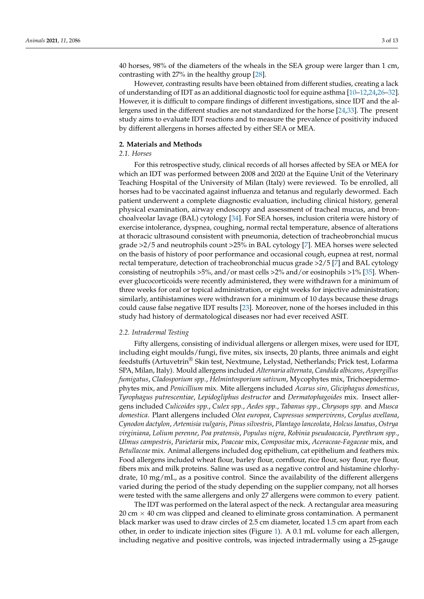40 horses, 98% of the diameters of the wheals in the SEA group were larger than 1 cm, contrasting with 27% in the healthy group [\[28\]](#page-11-9).

However, contrasting results have been obtained from different studies, creating a lack of understanding of IDT as an additional diagnostic tool for equine asthma [\[10](#page-10-9)[–12](#page-10-15)[,24](#page-11-4)[,26](#page-11-7)[–32\]](#page-11-10). However, it is difficult to compare findings of different investigations, since IDT and the allergens used in the different studies are not standardized for the horse [\[24](#page-11-4)[,33\]](#page-11-11). The present study aims to evaluate IDT reactions and to measure the prevalence of positivity induced by different allergens in horses affected by either SEA or MEA.

## **2. Materials and Methods**

# *2.1. Horses*

For this retrospective study, clinical records of all horses affected by SEA or MEA for which an IDT was performed between 2008 and 2020 at the Equine Unit of the Veterinary Teaching Hospital of the University of Milan (Italy) were reviewed. To be enrolled, all horses had to be vaccinated against influenza and tetanus and regularly dewormed. Each patient underwent a complete diagnostic evaluation, including clinical history, general physical examination, airway endoscopy and assessment of tracheal mucus, and bronchoalveolar lavage (BAL) cytology [\[34\]](#page-11-12). For SEA horses, inclusion criteria were history of exercise intolerance, dyspnea, coughing, normal rectal temperature, absence of alterations at thoracic ultrasound consistent with pneumonia, detection of tracheobronchial mucus grade >2/5 and neutrophils count >25% in BAL cytology [\[7\]](#page-10-6). MEA horses were selected on the basis of history of poor performance and occasional cough, eupnea at rest, normal rectal temperature, detection of tracheobronchial mucus grade >2/5 [\[7\]](#page-10-6) and BAL cytology consisting of neutrophils >5%, and/or mast cells >2% and/or eosinophils >1% [\[35\]](#page-11-13). Whenever glucocorticoids were recently administered, they were withdrawn for a minimum of three weeks for oral or topical administration, or eight weeks for injective administration; similarly, antihistamines were withdrawn for a minimum of 10 days because these drugs could cause false negative IDT results [\[23\]](#page-11-6). Moreover, none of the horses included in this study had history of dermatological diseases nor had ever received ASIT.

#### *2.2. Intradermal Testing*

Fifty allergens, consisting of individual allergens or allergen mixes, were used for IDT, including eight moulds/fungi, five mites, six insects, 20 plants, three animals and eight feedstuffs (Artuvetrin® Skin test, Nextmune, Lelystad, Netherlands; Prick test, Lofarma SPA, Milan, Italy). Mould allergens included *Alternaria alternata*, *Candida albicans*, *Aspergillus fumigatus*, *Cladosporium spp.*, *Helmintosporium sativum*, Mycophytes mix, Trichoepidermophytes mix, and *Penicillium* mix. Mite allergens included *Acarus siro*, *Gliciphagus domesticus*, *Tyrophagus putrescentiae*, *Lepidogliphus destructor* and *Dermatophagoides* mix. Insect allergens included *Culicoides spp.*, *Culex spp.*, *Aedes spp.*, *Tabanus spp.*, *Chrysops spp.* and *Musca domestica*. Plant allergens included *Olea europea*, *Cupressus sempervirens*, *Corylus avellana*, *Cynodon dactylon*, *Artemisia vulgaris*, *Pinus silvestris*, *Plantago lanceolata*, *Holcus lanatus*, *Ostrya virginiana*, *Lolium perenne*, *Poa pratensis*, *Populus nigra*, *Robinia pseudoacacia*, *Pyrethrum spp.*, *Ulmus campestris*, *Parietaria* mix, *Poaceae* mix, *Compositae* mix, *Aceraceae-Fagaceae* mix, and *Betullaceae* mix. Animal allergens included dog epithelium, cat epithelium and feathers mix. Food allergens included wheat flour, barley flour, cornflour, rice flour, soy flour, rye flour, fibers mix and milk proteins. Saline was used as a negative control and histamine chlorhydrate, 10 mg/mL, as a positive control. Since the availability of the different allergens varied during the period of the study depending on the supplier company, not all horses were tested with the same allergens and only 27 allergens were common to every patient.

The IDT was performed on the lateral aspect of the neck. A rectangular area measuring  $20 \text{ cm} \times 40 \text{ cm}$  was clipped and cleaned to eliminate gross contamination. A permanent black marker was used to draw circles of 2.5 cm diameter, located 1.5 cm apart from each other, in order to indicate injection sites (Figure [1\)](#page-3-0). A 0.1 mL volume for each allergen, including negative and positive controls, was injected intradermally using a 25-gauge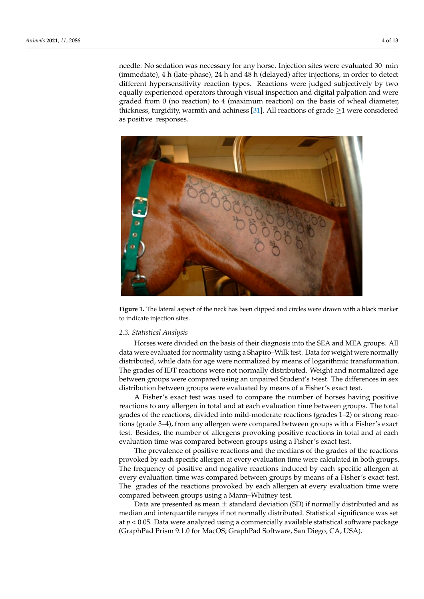needle. No sedation was necessary for any horse. Injection sites were evaluated 30  $\,$  min $\,$ (immediate), 4 h (late-phase), 24 h and 48 h (delayed) after injections, in order to detect  $\frac{1}{2}$ different hypersensitivity reaction types. Reactions were judged subjectively by two amerent hypersensitivity reaction types. Reactions were judged subjectively by two<br>equally experienced operators through visual inspection and digital palpation and were  $\frac{1}{2}$  graded from 0 (no reaction) to 4 (maximum reaction) on the basis of wheal diameter, thickness, turgidity, warmth and achiness [3[1\]. A](#page-11-14)ll reactions of grade  $\geq$ 1 were considered as positive responses.

<span id="page-3-0"></span>

**Figure 1.** The lateral aspect of the neck has been clipped and circles were drawn with a black marker **Figure 1.** The lateral aspect of the neck has been clipped and circles were drawn with a black marker to indicate injection sites. to indicate injection sites.

# *2.3. Statistical Analysis 2.3. Statistical Analysis*

data were evaluated for normality using a Shapiro–Wilk test. Data for weight were normally distributed, while data for age were normalized by means of logarithmic transformation. The grades of IDT reactions were not normally distributed. Weight and normalized age<br>between groups were compared using an anpaired stadent street. The differences in sex<br>distribution between groups were evaluated by means of a Fisher's exact test. Horses were divided on the basis of their diagnosis into the SEA and MEA groups. All between groups were compared using an unpaired Student's *t*-test. The differences in sex

A Fisher's exact test was used to compare the number of horses having positive reactions to any allergen in total and at each evaluation time between groups. The total grades of the reactions, divided into mild-moderate reactions (grades 1–2) or strong reactions (grade 3–4), from any allergen were compared between groups with a Fisher's exact<br>test. Resides, the number of allergens number assitive resitive sections in tatal and at seek evaluation time was compared between groups using a Fisher's exact test. test. Besides, the number of allergens provoking positive reactions in total and at each

The prevalence of positive reactions and the medians of the grades of the reactions provoked by each specific allergen at every evaluation time were calculated in both groups. The frequency of positive and negative reactions induced by each specific allergen at  $\frac{1}{2}$ evaluation time was compared between groups using a Fisher's exact test. The grades of the reactions provoked by each allergen at every evaluation time were compared between groups using a Mann–Whitney test. every evaluation time was compared between groups by means of a Fisher's exact test.

Data are presented as mean  $\pm$  standard deviation (SD) if normally distributed and as median and interquartile ranges if not normally distributed. Statistical significance was set at *p* < 0.05. Data were analyzed using a commercially available statistical software package<br>'Craph Dad Priam 0.1.0 for MacOS: Craph Dad Software, San Diego, CA, USA) (GraphPad Prism 9.1.0 for MacOS; GraphPad Software, San Diego, CA, USA).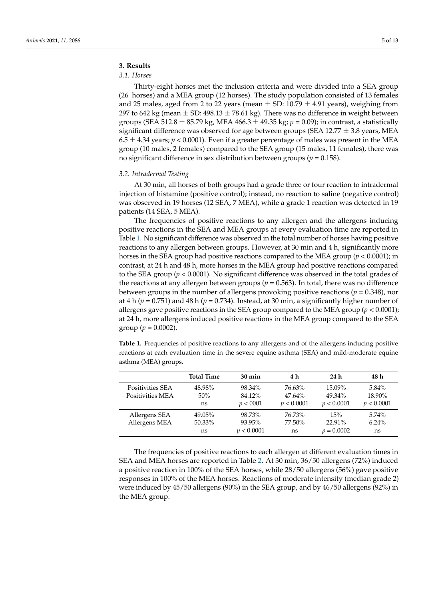# **3. Results**

# *3.1. Horses*

Thirty-eight horses met the inclusion criteria and were divided into a SEA group (26 horses) and a MEA group (12 horses). The study population consisted of 13 females and 25 males, aged from 2 to 22 years (mean  $\pm$  SD: 10.79  $\pm$  4.91 years), weighing from 297 to 642 kg (mean  $\pm$  SD: 498.13  $\pm$  78.61 kg). There was no difference in weight between groups (SEA 512.8  $\pm$  85.79 kg, MEA 466.3  $\pm$  49.35 kg;  $p = 0.09$ ); in contrast, a statistically significant difference was observed for age between groups (SEA 12.77  $\pm$  3.8 years, MEA  $6.5 \pm 4.34$  years;  $p < 0.0001$ ). Even if a greater percentage of males was present in the MEA group (10 males, 2 females) compared to the SEA group (15 males, 11 females), there was no significant difference in sex distribution between groups ( $p = 0.158$ ).

## *3.2. Intradermal Testing*

At 30 min, all horses of both groups had a grade three or four reaction to intradermal injection of histamine (positive control); instead, no reaction to saline (negative control) was observed in 19 horses (12 SEA, 7 MEA), while a grade 1 reaction was detected in 19 patients (14 SEA, 5 MEA).

The frequencies of positive reactions to any allergen and the allergens inducing positive reactions in the SEA and MEA groups at every evaluation time are reported in Table [1.](#page-4-0) No significant difference was observed in the total number of horses having positive reactions to any allergen between groups. However, at 30 min and 4 h, significantly more horses in the SEA group had positive reactions compared to the MEA group (*p* < 0.0001); in contrast, at 24 h and 48 h, more horses in the MEA group had positive reactions compared to the SEA group ( $p < 0.0001$ ). No significant difference was observed in the total grades of the reactions at any allergen between groups ( $p = 0.563$ ). In total, there was no difference between groups in the number of allergens provoking positive reactions ( $p = 0.348$ ), nor at 4 h ( $p = 0.751$ ) and 48 h ( $p = 0.734$ ). Instead, at 30 min, a significantly higher number of allergens gave positive reactions in the SEA group compared to the MEA group ( $p < 0.0001$ ); at 24 h, more allergens induced positive reactions in the MEA group compared to the SEA group ( $p = 0.0002$ ).

<span id="page-4-0"></span>**Table 1.** Frequencies of positive reactions to any allergens and of the allergens inducing positive reactions at each evaluation time in the severe equine asthma (SEA) and mild-moderate equine asthma (MEA) groups.

|                  | <b>Total Time</b> | $30 \text{ min}$ | 4 h        | 24 h         | 48 h       |
|------------------|-------------------|------------------|------------|--------------|------------|
| Positivities SEA | 48.98%            | 98.34%           | 76.63%     | 15.09%       | $5.84\%$   |
| Positivities MEA | 50%               | 84.12%           | $47.64\%$  | 49.34%       | 18.90%     |
|                  | ns                | p < 0001         | p < 0.0001 | p < 0.0001   | p < 0.0001 |
| Allergens SEA    | 49.05%            | 98.73%           | 76.73%     | 15%          | $5.74\%$   |
| Allergens MEA    | 50.33%            | 93.95%           | 77.50%     | 22.91%       | $6.24\%$   |
|                  | ns                | v < 0.0001       | ns         | $p = 0.0002$ | ns         |

The frequencies of positive reactions to each allergen at different evaluation times in SEA and MEA horses are reported in Table [2.](#page-6-0) At 30 min, 36/50 allergens (72%) induced a positive reaction in 100% of the SEA horses, while 28/50 allergens (56%) gave positive responses in 100% of the MEA horses. Reactions of moderate intensity (median grade 2) were induced by 45/50 allergens (90%) in the SEA group, and by 46/50 allergens (92%) in the MEA group.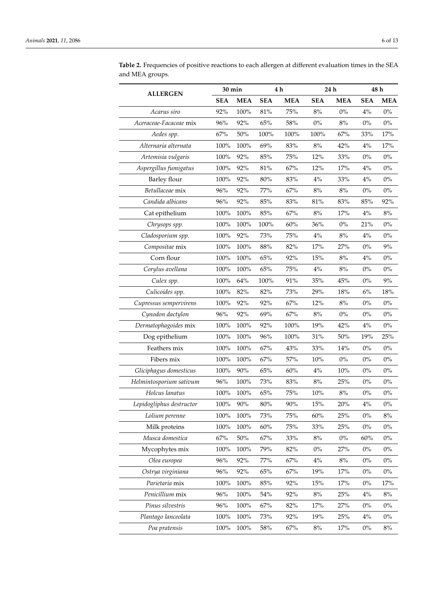|                          | 30 min     |            | 4 h        |            | 24 h       |            | 48 h       |            |
|--------------------------|------------|------------|------------|------------|------------|------------|------------|------------|
| <b>ALLERGEN</b>          | <b>SEA</b> | <b>MEA</b> | <b>SEA</b> | <b>MEA</b> | <b>SEA</b> | <b>MEA</b> | <b>SEA</b> | <b>MEA</b> |
| Acarus siro              | 92%        | 100%       | 81%        | 75%        | $8\%$      | $0\%$      | 4%         | $0\%$      |
| Aceraceae-Facaceae mix   | 96%        | 92%        | 65%        | $58\%$     | $0\%$      | $8\%$      | $0\%$      | $0\%$      |
| Aedes spp.               | 67%        | 50%        | 100%       | 100%       | 100%       | 67%        | 33%        | 17%        |
| Alternaria alternata     | 100%       | 100%       | 69%        | 83%        | $8\%$      | 42%        | $4\%$      | 17%        |
| Artemisia vulgaris       | 100%       | 92%        | $85\%$     | 75%        | 12%        | 33%        | $0\%$      | $0\%$      |
| Aspergillus fumigatus    | $100\%$    | 92%        | $81\%$     | 67%        | 12%        | 17%        | 4%         | $0\%$      |
| Barley flour             | 100%       | 92%        | 80%        | 83%        | 4%         | 33%        | 4%         | $0\%$      |
| Betullaceae mix          | 96%        | 92%        | 77%        | 67%        | $8\%$      | $8\%$      | $0\%$      | $0\%$      |
| Candida albicans         | 96%        | 92%        | 85%        | 83%        | 81%        | 83%        | 85%        | 92%        |
| Cat epithelium           | 100%       | 100%       | $85\%$     | 67%        | $8\%$      | 17%        | 4%         | $8\%$      |
| Chrysops spp.            | 100%       | 100%       | 100%       | 60%        | 36%        | $0\%$      | 21%        | $0\%$      |
| Cladosporium spp.        | 100%       | 92%        | 73%        | 75%        | 4%         | $8\%$      | 4%         | $0\%$      |
| Compositae mix           | $100\%$    | 100%       | $88\%$     | 82%        | 17%        | 27%        | $0\%$      | $9\%$      |
| Corn flour               | 100%       | 100%       | 65%        | 92%        | 15%        | $8\%$      | 4%         | $0\%$      |
| Corylus avellana         | 100%       | 100%       | $65\%$     | 75%        | 4%         | $8\%$      | $0\%$      | $0\%$      |
| Culex spp.               | 100%       | 64%        | 100%       | 91%        | $35\%$     | 45%        | $0\%$      | 9%         |
| Culicoides spp.          | 100%       | 82%        | 82%        | 73%        | 29%        | 18%        | $6\%$      | 18%        |
| Cupressus sempervirens   | 100%       | 92%        | 92%        | 67%        | 12%        | 8%         | $0\%$      | $0\%$      |
| Cynodon dactylon         | 96%        | 92%        | 69%        | 67%        | $8\%$      | $0\%$      | $0\%$      | $0\%$      |
| Dermatophagoides mix     | 100%       | 100%       | 92%        | 100%       | 19%        | 42%        | 4%         | $0\%$      |
| Dog epithelium           | 100%       | $100\%$    | $96\%$     | $100\%$    | $31\%$     | 50%        | 19%        | 25%        |
| Feathers mix             | 100%       | 100%       | 67%        | 43%        | 33%        | 14%        | $0\%$      | $0\%$      |
| Fibers mix               | 100%       | 100%       | 67%        | 57%        | 10%        | $0\%$      | $0\%$      | $0\%$      |
| Gliciphagus domesticus   | 100%       | $90\%$     | $65\%$     | $60\%$     | 4%         | $10\%$     | $0\%$      | $0\%$      |
| Helmintosporium sativum  | 96%        | 100%       | 73%        | 83%        | $8\%$      | 25%        | $0\%$      | $0\%$      |
| Holcus lanatus           | 100%       | 100%       | $65\%$     | 75%        | $10\%$     | 8%         | $0\%$      | $0\%$      |
| Lepidogliphus destructor | 100%       | $90\%$     | $80\%$     | $90\%$     | $15%$      | 20%        | 4%         | $0\%$      |
| Lolium perenne           | $100\%$    | 100%       | 73%        | $75\%$     | $60\%$     | 25%        | $0\%$      | 8%         |
| Milk proteins            | 100%       | 100%       | $60\%$     | $75\%$     | 33%        | 25%        | $0\%$      | $0\%$      |
| Musca domestica          | $67\%$     | $50\%$     | $67\%$     | 33%        | $8\%$      | $0\%$      | $60\%$     | $0\%$      |
| Mycophytes mix           | 100%       | 100%       | 79%        | 82%        | $0\%$      | 27%        | $0\%$      | $0\%$      |
| Olea europea             | 96%        | 92%        | $77\%$     | 67%        | $4\%$      | $8\%$      | $0\%$      | $0\%$      |
| Ostrya virginiana        | 96%        | 92%        | $65\%$     | 67%        | 19%        | 17%        | $0\%$      | $0\%$      |
| Parietaria mix           | 100%       | 100%       | $85\%$     | 92%        | 15%        | 17%        | $0\%$      | 17%        |
| Penicillium mix          | $96\%$     | 100%       | $54\%$     | 92%        | $8\%$      | 25%        | 4%         | $8\%$      |
| Pinus silvestris         | $96\%$     | 100%       | $67\%$     | 82%        | 17%        | 27%        | $0\%$      | $0\%$      |
| Plantago lanceolata      | 100%       | 100%       | 73%        | 92%        | 19%        | 25%        | 4%         | $0\%$      |
| Poa pratensis            | $100\%$    | 100%       | $58\%$     | $67\%$     | $8\%$      | 17%        | $0\%$      | $8\%$      |

**Table 2.** Frequencies of positive reactions to each allergen at different evaluation times in the SEA and MEA groups.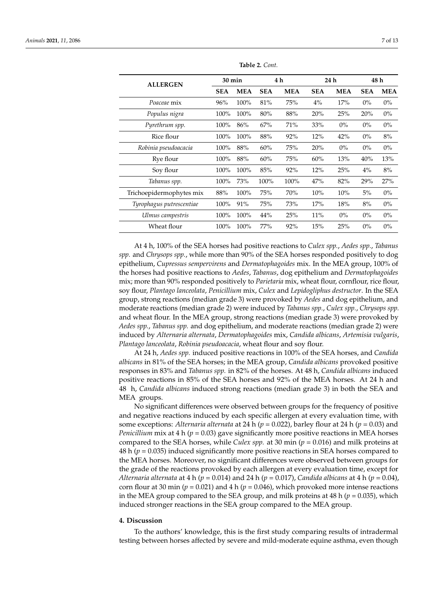<span id="page-6-0"></span>

| <b>ALLERGEN</b>          |            | $30 \text{ min}$ |            | 4 h        |            | 24 h       |            | 48 h       |  |
|--------------------------|------------|------------------|------------|------------|------------|------------|------------|------------|--|
|                          | <b>SEA</b> | <b>MEA</b>       | <b>SEA</b> | <b>MEA</b> | <b>SEA</b> | <b>MEA</b> | <b>SEA</b> | <b>MEA</b> |  |
| Poaceae mix              | 96%        | 100%             | 81%        | 75%        | $4\%$      | 17%        | $0\%$      | $0\%$      |  |
| Populus nigra            | 100%       | $100\%$          | 80%        | 88%        | 20%        | 25%        | 20%        | $0\%$      |  |
| Pyrethrum spp.           | 100%       | 86%              | 67%        | 71%        | 33%        | $0\%$      | $0\%$      | $0\%$      |  |
| Rice flour               | 100%       | 100%             | 88%        | 92%        | 12%        | 42%        | $0\%$      | 8%         |  |
| Robinia pseudoacacia     | 100%       | 88%              | 60%        | 75%        | 20%        | $0\%$      | $0\%$      | $0\%$      |  |
| Rye flour                | 100%       | 88%              | 60%        | 75%        | 60%        | 13%        | 40%        | 13%        |  |
| Soy flour                | 100%       | 100%             | 85%        | 92%        | 12%        | 25%        | $4\%$      | 8%         |  |
| Tabanus spp.             | 100%       | 73%              | $100\%$    | 100%       | 47%        | 82%        | 29%        | 27%        |  |
| Trichoepidermophytes mix | 88%        | 100%             | 75%        | 70%        | 10%        | 10%        | 5%         | $0\%$      |  |
| Tyrophagus putrescentiae | 100%       | 91%              | 75%        | 73%        | 17%        | 18%        | 8%         | $0\%$      |  |
| Ulmus campestris         | 100%       | 100%             | 44%        | 25%        | 11%        | $0\%$      | $0\%$      | $0\%$      |  |
| Wheat flour              | 100%       | 100%             | 77%        | 92%        | 15%        | 25%        | $0\%$      | $0\%$      |  |

**Table 2.** *Cont.*

At 4 h, 100% of the SEA horses had positive reactions to *Culex spp.*, *Aedes spp.*, *Tabanus spp.* and *Chrysops spp.*, while more than 90% of the SEA horses responded positively to dog epithelium, *Cupressus sempervirens* and *Dermatophagoides* mix. In the MEA group, 100% of the horses had positive reactions to *Aedes*, *Tabanus*, dog epithelium and *Dermatophagoides* mix; more than 90% responded positively to *Parietaria* mix, wheat flour, cornflour, rice flour, soy flour, *Plantago lanceolata*, *Penicillium* mix, *Culex* and *Lepidogliphus destructor*. In the SEA group, strong reactions (median grade 3) were provoked by *Aedes* and dog epithelium, and moderate reactions (median grade 2) were induced by *Tabanus spp.*, *Culex spp.*, *Chrysops spp.* and wheat flour. In the MEA group, strong reactions (median grade 3) were provoked by *Aedes spp.*, *Tabanus spp.* and dog epithelium, and moderate reactions (median grade 2) were induced by *Alternaria alternata*, *Dermatophagoides* mix, *Candida albicans*, *Artemisia vulgaris*, *Plantago lanceolata*, *Robinia pseudoacacia*, wheat flour and soy flour.

At 24 h, *Aedes spp.* induced positive reactions in 100% of the SEA horses, and *Candida albicans* in 81% of the SEA horses; in the MEA group, *Candida albicans* provoked positive responses in 83% and *Tabanus spp.* in 82% of the horses. At 48 h, *Candida albicans* induced positive reactions in 85% of the SEA horses and 92% of the MEA horses. At 24 h and 48 h, *Candida albicans* induced strong reactions (median grade 3) in both the SEA and MEA groups.

No significant differences were observed between groups for the frequency of positive and negative reactions induced by each specific allergen at every evaluation time, with some exceptions: *Alternaria alternata* at 24 h (*p* = 0.022), barley flour at 24 h (*p* = 0.03) and *Penicillium* mix at 4 h ( $p = 0.03$ ) gave significantly more positive reactions in MEA horses compared to the SEA horses, while *Culex spp.* at 30 min (*p* = 0.016) and milk proteins at 48 h (*p* = 0.035) induced significantly more positive reactions in SEA horses compared to the MEA horses. Moreover, no significant differences were observed between groups for the grade of the reactions provoked by each allergen at every evaluation time, except for *Alternaria alternata* at 4 h ( $p = 0.014$ ) and 24 h ( $p = 0.017$ ), *Candida albicans* at 4 h ( $p = 0.04$ ), corn flour at 30 min ( $p = 0.021$ ) and 4 h ( $p = 0.046$ ), which provoked more intense reactions in the MEA group compared to the SEA group, and milk proteins at  $48$  h ( $p = 0.035$ ), which induced stronger reactions in the SEA group compared to the MEA group.

#### **4. Discussion**

To the authors' knowledge, this is the first study comparing results of intradermal testing between horses affected by severe and mild-moderate equine asthma, even though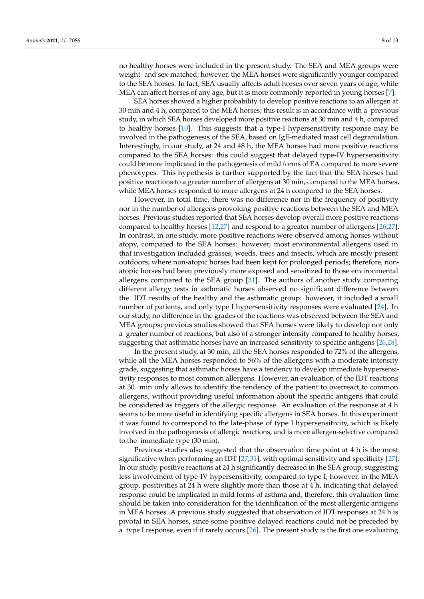no healthy horses were included in the present study. The SEA and MEA groups were weight- and sex-matched; however, the MEA horses were significantly younger compared to the SEA horses. In fact, SEA usually affects adult horses over seven years of age, while MEA can affect horses of any age, but it is more commonly reported in young horses [\[7\]](#page-10-6).

SEA horses showed a higher probability to develop positive reactions to an allergen at 30 min and 4 h, compared to the MEA horses; this result is in accordance with a previous study, in which SEA horses developed more positive reactions at 30 min and 4 h, compared to healthy horses [\[10\]](#page-10-9). This suggests that a type-I hypersensitivity response may be involved in the pathogenesis of the SEA, based on IgE-mediated mast cell degranulation. Interestingly, in our study, at 24 and 48 h, the MEA horses had more positive reactions compared to the SEA horses: this could suggest that delayed type-IV hypersensitivity could be more implicated in the pathogenesis of mild forms of EA compared to more severe phenotypes. This hypothesis is further supported by the fact that the SEA horses had positive reactions to a greater number of allergens at 30 min, compared to the MEA horses, while MEA horses responded to more allergens at 24 h compared to the SEA horses.

However, in total time, there was no difference nor in the frequency of positivity nor in the number of allergens provoking positive reactions between the SEA and MEA horses. Previous studies reported that SEA horses develop overall more positive reactions compared to healthy horses [\[12](#page-10-15)[,27\]](#page-11-8) and respond to a greater number of allergens [\[26,](#page-11-7)[27\]](#page-11-8). In contrast, in one study, more positive reactions were observed among horses without atopy, compared to the SEA horses: however, most environmental allergens used in that investigation included grasses, weeds, trees and insects, which are mostly present outdoors, where non-atopic horses had been kept for prolonged periods; therefore, nonatopic horses had been previously more exposed and sensitized to those environmental allergens compared to the SEA group [\[31\]](#page-11-14). The authors of another study comparing different allergy tests in asthmatic horses observed no significant difference between the IDT results of the healthy and the asthmatic group: however, it included a small number of patients, and only type I hypersensitivity responses were evaluated [\[24\]](#page-11-4). In our study, no difference in the grades of the reactions was observed between the SEA and MEA groups; previous studies showed that SEA horses were likely to develop not only a greater number of reactions, but also of a stronger intensity compared to healthy horses, suggesting that asthmatic horses have an increased sensitivity to specific antigens [\[26](#page-11-7)[,28\]](#page-11-9).

In the present study, at 30 min, all the SEA horses responded to 72% of the allergens, while all the MEA horses responded to 56% of the allergens with a moderate intensity grade, suggesting that asthmatic horses have a tendency to develop immediate hypersensitivity responses to most common allergens. However, an evaluation of the IDT reactions at 30 min only allows to identify the tendency of the patient to overreact to common allergens, without providing useful information about the specific antigens that could be considered as triggers of the allergic response. An evaluation of the response at 4 h seems to be more useful in identifying specific allergens in SEA horses. In this experiment it was found to correspond to the late-phase of type I hypersensitivity, which is likely involved in the pathogenesis of allergic reactions, and is more allergen-selective compared to the immediate type (30 min).

Previous studies also suggested that the observation time point at 4 h is the most significative when performing an IDT [\[27,](#page-11-8)[31\]](#page-11-14), with optimal sensitivity and specificity [\[27\]](#page-11-8). In our study, positive reactions at 24 h significantly decreased in the SEA group, suggesting less involvement of type-IV hypersensitivity, compared to type I; however, in the MEA group, positivities at 24 h were slightly more than those at 4 h, indicating that delayed response could be implicated in mild forms of asthma and, therefore, this evaluation time should be taken into consideration for the identification of the most allergenic antigens in MEA horses. A previous study suggested that observation of IDT responses at 24 h is pivotal in SEA horses, since some positive delayed reactions could not be preceded by a type I response, even if it rarely occurs [\[26\]](#page-11-7). The present study is the first one evaluating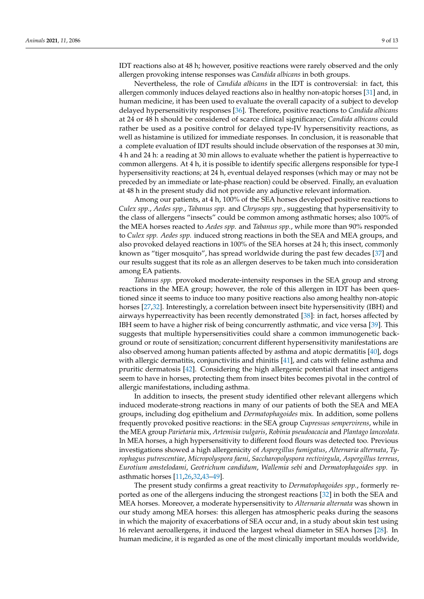IDT reactions also at 48 h; however, positive reactions were rarely observed and the only allergen provoking intense responses was *Candida albicans* in both groups.

Nevertheless, the role of *Candida albicans* in the IDT is controversial: in fact, this allergen commonly induces delayed reactions also in healthy non-atopic horses [\[31\]](#page-11-14) and, in human medicine, it has been used to evaluate the overall capacity of a subject to develop delayed hypersensitivity responses [\[36\]](#page-11-15). Therefore, positive reactions to *Candida albicans* at 24 or 48 h should be considered of scarce clinical significance; *Candida albicans* could rather be used as a positive control for delayed type-IV hypersensitivity reactions, as well as histamine is utilized for immediate responses. In conclusion, it is reasonable that a complete evaluation of IDT results should include observation of the responses at 30 min, 4 h and 24 h: a reading at 30 min allows to evaluate whether the patient is hyperreactive to common allergens. At 4 h, it is possible to identify specific allergens responsible for type-I hypersensitivity reactions; at 24 h, eventual delayed responses (which may or may not be preceded by an immediate or late-phase reaction) could be observed. Finally, an evaluation at 48 h in the present study did not provide any adjunctive relevant information.

Among our patients, at 4 h, 100% of the SEA horses developed positive reactions to *Culex spp.*, *Aedes spp.*, *Tabanus spp.* and *Chrysops spp.*, suggesting that hypersensitivity to the class of allergens "insects" could be common among asthmatic horses; also 100% of the MEA horses reacted to *Aedes spp.* and *Tabanus spp.*, while more than 90% responded to *Culex spp. Aedes spp.* induced strong reactions in both the SEA and MEA groups, and also provoked delayed reactions in 100% of the SEA horses at 24 h; this insect, commonly known as "tiger mosquito", has spread worldwide during the past few decades [\[37\]](#page-11-16) and our results suggest that its role as an allergen deserves to be taken much into consideration among EA patients.

*Tabanus spp.* provoked moderate-intensity responses in the SEA group and strong reactions in the MEA group; however, the role of this allergen in IDT has been questioned since it seems to induce too many positive reactions also among healthy non-atopic horses [\[27](#page-11-8)[,32\]](#page-11-10). Interestingly, a correlation between insect bite hypersensitivity (IBH) and airways hyperreactivity has been recently demonstrated [\[38\]](#page-11-17): in fact, horses affected by IBH seem to have a higher risk of being concurrently asthmatic, and vice versa [\[39\]](#page-11-18). This suggests that multiple hypersensitivities could share a common immunogenetic background or route of sensitization; concurrent different hypersensitivity manifestations are also observed among human patients affected by asthma and atopic dermatitis [\[40\]](#page-11-19), dogs with allergic dermatitis, conjunctivitis and rhinitis [\[41\]](#page-11-20), and cats with feline asthma and pruritic dermatosis [\[42\]](#page-11-21). Considering the high allergenic potential that insect antigens seem to have in horses, protecting them from insect bites becomes pivotal in the control of allergic manifestations, including asthma.

In addition to insects, the present study identified other relevant allergens which induced moderate-strong reactions in many of our patients of both the SEA and MEA groups, including dog epithelium and *Dermatophagoides* mix. In addition, some pollens frequently provoked positive reactions: in the SEA group *Cupressus sempervirens*, while in the MEA group *Parietaria* mix, *Artemisia vulgaris*, *Robinia pseudoacacia* and *Plantago lanceolata*. In MEA horses, a high hypersensitivity to different food flours was detected too. Previous investigations showed a high allergenicity of *Aspergillus fumigatus*, *Alternaria alternata*, *Tyrophagus putrescentiae*, *Micropolyspora faeni*, *Saccharopolyspora rectivirgula*, *Aspergillus terreus*, *Eurotium amstelodami*, *Geotrichum candidum*, *Wallemia sebi* and *Dermatophagoides spp.* in asthmatic horses [\[11,](#page-10-16)[26](#page-11-7)[,32](#page-11-10)[,43–](#page-11-22)[49\]](#page-12-0).

The present study confirms a great reactivity to *Dermatophagoides spp.*, formerly reported as one of the allergens inducing the strongest reactions [\[32\]](#page-11-10) in both the SEA and MEA horses. Moreover, a moderate hypersensitivity to *Alternaria alternata* was shown in our study among MEA horses: this allergen has atmospheric peaks during the seasons in which the majority of exacerbations of SEA occur and, in a study about skin test using 16 relevant aeroallergens, it induced the largest wheal diameter in SEA horses [\[28\]](#page-11-9). In human medicine, it is regarded as one of the most clinically important moulds worldwide,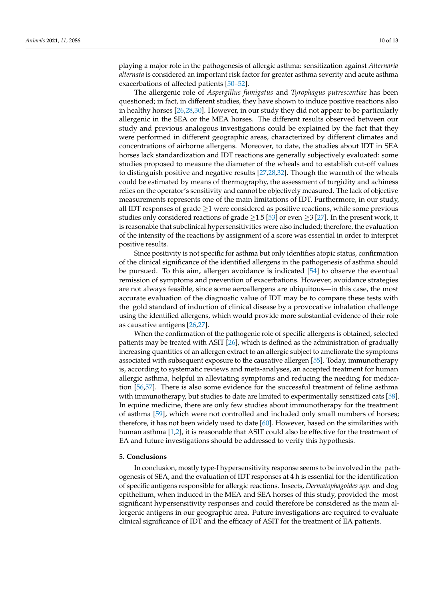playing a major role in the pathogenesis of allergic asthma: sensitization against *Alternaria alternata* is considered an important risk factor for greater asthma severity and acute asthma exacerbations of affected patients [\[50](#page-12-1)[–52\]](#page-12-2).

The allergenic role of *Aspergillus fumigatus* and *Tyrophagus putrescentiae* has been questioned; in fact, in different studies, they have shown to induce positive reactions also in healthy horses [\[26,](#page-11-7)[28,](#page-11-9)[30\]](#page-11-23). However, in our study they did not appear to be particularly allergenic in the SEA or the MEA horses. The different results observed between our study and previous analogous investigations could be explained by the fact that they were performed in different geographic areas, characterized by different climates and concentrations of airborne allergens. Moreover, to date, the studies about IDT in SEA horses lack standardization and IDT reactions are generally subjectively evaluated: some studies proposed to measure the diameter of the wheals and to establish cut-off values to distinguish positive and negative results [\[27](#page-11-8)[,28](#page-11-9)[,32\]](#page-11-10). Though the warmth of the wheals could be estimated by means of thermography, the assessment of turgidity and achiness relies on the operator's sensitivity and cannot be objectively measured. The lack of objective measurements represents one of the main limitations of IDT. Furthermore, in our study, all IDT responses of grade  $\geq$ 1 were considered as positive reactions, while some previous studies only considered reactions of grade  $\geq$ 1.5 [\[53\]](#page-12-3) or even  $\geq$ 3 [\[27\]](#page-11-8). In the present work, it is reasonable that subclinical hypersensitivities were also included; therefore, the evaluation of the intensity of the reactions by assignment of a score was essential in order to interpret positive results.

Since positivity is not specific for asthma but only identifies atopic status, confirmation of the clinical significance of the identified allergens in the pathogenesis of asthma should be pursued. To this aim, allergen avoidance is indicated [\[54\]](#page-12-4) to observe the eventual remission of symptoms and prevention of exacerbations. However, avoidance strategies are not always feasible, since some aeroallergens are ubiquitous—in this case, the most accurate evaluation of the diagnostic value of IDT may be to compare these tests with the gold standard of induction of clinical disease by a provocative inhalation challenge using the identified allergens, which would provide more substantial evidence of their role as causative antigens [\[26,](#page-11-7)[27\]](#page-11-8).

When the confirmation of the pathogenic role of specific allergens is obtained, selected patients may be treated with ASIT [\[26\]](#page-11-7), which is defined as the administration of gradually increasing quantities of an allergen extract to an allergic subject to ameliorate the symptoms associated with subsequent exposure to the causative allergen [\[55\]](#page-12-5). Today, immunotherapy is, according to systematic reviews and meta-analyses, an accepted treatment for human allergic asthma, helpful in alleviating symptoms and reducing the needing for medication [\[56,](#page-12-6)[57\]](#page-12-7). There is also some evidence for the successful treatment of feline asthma with immunotherapy, but studies to date are limited to experimentally sensitized cats [\[58\]](#page-12-8). In equine medicine, there are only few studies about immunotherapy for the treatment of asthma [\[59\]](#page-12-9), which were not controlled and included only small numbers of horses; therefore, it has not been widely used to date [\[60\]](#page-12-10). However, based on the similarities with human asthma [\[1](#page-10-0)[,2\]](#page-10-1), it is reasonable that ASIT could also be effective for the treatment of EA and future investigations should be addressed to verify this hypothesis.

## **5. Conclusions**

In conclusion, mostly type-I hypersensitivity response seems to be involved in the pathogenesis of SEA, and the evaluation of IDT responses at 4 h is essential for the identification of specific antigens responsible for allergic reactions. Insects, *Dermatophagoides spp.* and dog epithelium, when induced in the MEA and SEA horses of this study, provided the most significant hypersensitivity responses and could therefore be considered as the main allergenic antigens in our geographic area. Future investigations are required to evaluate clinical significance of IDT and the efficacy of ASIT for the treatment of EA patients.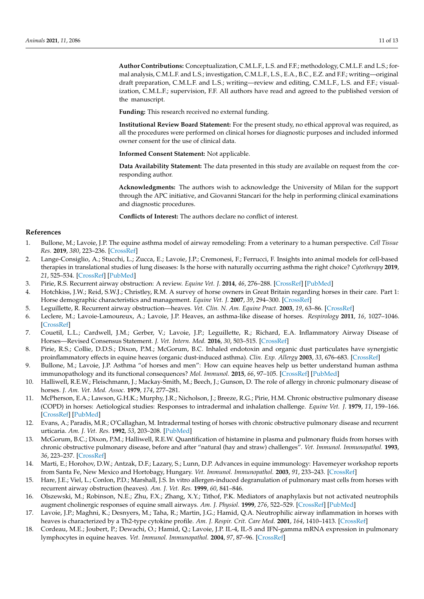**Author Contributions:** Conceptualization, C.M.L.F., L.S. and F.F.; methodology, C.M.L.F. and L.S.; formal analysis, C.M.L.F. and L.S.; investigation, C.M.L.F., L.S., E.A., B.C., E.Z. and F.F.; writing—original draft preparation, C.M.L.F. and L.S.; writing—review and editing, C.M.L.F., L.S. and F.F.; visualization, C.M.L.F.; supervision, F.F. All authors have read and agreed to the published version of the manuscript.

**Funding:** This research received no external funding.

**Institutional Review Board Statement:** For the present study, no ethical approval was required, as all the procedures were performed on clinical horses for diagnostic purposes and included informed owner consent for the use of clinical data.

**Informed Consent Statement:** Not applicable.

**Data Availability Statement:** The data presented in this study are available on request from the corresponding author.

**Acknowledgments:** The authors wish to acknowledge the University of Milan for the support through the APC initiative, and Giovanni Stancari for the help in performing clinical examinations and diagnostic procedures.

**Conflicts of Interest:** The authors declare no conflict of interest.

## **References**

- <span id="page-10-0"></span>1. Bullone, M.; Lavoie, J.P. The equine asthma model of airway remodeling: From a veterinary to a human perspective. *Cell Tissue Res.* **2019**, *380*, 223–236. [\[CrossRef\]](http://doi.org/10.1007/s00441-019-03117-4)
- <span id="page-10-1"></span>2. Lange-Consiglio, A.; Stucchi, L.; Zucca, E.; Lavoie, J.P.; Cremonesi, F.; Ferrucci, F. Insights into animal models for cell-based therapies in translational studies of lung diseases: Is the horse with naturally occurring asthma the right choice? *Cytotherapy* **2019**, *21*, 525–534. [\[CrossRef\]](http://doi.org/10.1016/j.jcyt.2019.02.010) [\[PubMed\]](http://www.ncbi.nlm.nih.gov/pubmed/30929991)
- <span id="page-10-2"></span>3. Pirie, R.S. Recurrent airway obstruction: A review. *Equine Vet. J.* **2014**, *46*, 276–288. [\[CrossRef\]](http://doi.org/10.1111/evj.12204) [\[PubMed\]](http://www.ncbi.nlm.nih.gov/pubmed/24164473)
- <span id="page-10-3"></span>4. Hotchkiss, J.W.; Reid, S.W.J.; Christley, R.M. A survey of horse owners in Great Britain regarding horses in their care. Part 1: Horse demographic characteristics and management. *Equine Vet. J.* **2007**, *39*, 294–300. [\[CrossRef\]](http://doi.org/10.2746/042516407X177538)
- <span id="page-10-4"></span>5. Leguillette, R. Recurrent airway obstruction—heaves. *Vet. Clin. N. Am. Equine Pract.* **2003**, *19*, 63–86. [\[CrossRef\]](http://doi.org/10.1016/S0749-0739(02)00067-6)
- <span id="page-10-5"></span>6. Leclere, M.; Lavoie-Lamoureux, A.; Lavoie, J.P. Heaves, an asthma-like disease of horses. *Respirology* **2011**, *16*, 1027–1046. [\[CrossRef\]](http://doi.org/10.1111/j.1440-1843.2011.02033.x)
- <span id="page-10-6"></span>7. Couetil, L.L.; Cardwell, J.M.; Gerber, V.; Lavoie, J.P.; Leguillette, R.; Richard, E.A. Inflammatory Airway Disease of Horses—Revised Consensus Statement. *J. Vet. Intern. Med.* **2016**, *30*, 503–515. [\[CrossRef\]](http://doi.org/10.1111/jvim.13824)
- <span id="page-10-7"></span>8. Pirie, R.S.; Collie, D.D.S.; Dixon, P.M.; McGorum, B.C. Inhaled endotoxin and organic dust particulates have synergistic proinflammatory effects in equine heaves (organic dust-induced asthma). *Clin. Exp. Allergy* **2003**, *33*, 676–683. [\[CrossRef\]](http://doi.org/10.1046/j.1365-2222.2003.01640.x)
- <span id="page-10-8"></span>9. Bullone, M.; Lavoie, J.P. Asthma "of horses and men": How can equine heaves help us better understand human asthma immunopathology and its functional consequences? *Mol. Immunol.* **2015**, *66*, 97–105. [\[CrossRef\]](http://doi.org/10.1016/j.molimm.2014.12.005) [\[PubMed\]](http://www.ncbi.nlm.nih.gov/pubmed/25547716)
- <span id="page-10-9"></span>10. Halliwell, R.E.W.; Fleischmann, J.; Mackay-Smith, M.; Beech, J.; Gunson, D. The role of allergy in chronic pulmonary disease of horses. *J. Am. Vet. Med. Assoc.* **1979**, *174*, 277–281.
- <span id="page-10-16"></span>11. McPherson, E.A.; Lawson, G.H.K.; Murphy, J.R.; Nicholson, J.; Breeze, R.G.; Pirie, H.M. Chronic obstructive pulmonary disease (COPD) in horses: Aetiological studies: Responses to intradermal and inhalation challenge. *Equine Vet. J.* **1979**, *11*, 159–166. [\[CrossRef\]](http://doi.org/10.1111/j.2042-3306.1979.tb01330.x) [\[PubMed\]](http://www.ncbi.nlm.nih.gov/pubmed/385306)
- <span id="page-10-15"></span>12. Evans, A.; Paradis, M.R.; O'Callaghan, M. Intradermal testing of horses with chronic obstructive pulmonary disease and recurrent urticaria. *Am. J. Vet. Res.* **1992**, *53*, 203–208. [\[PubMed\]](http://www.ncbi.nlm.nih.gov/pubmed/1575385)
- <span id="page-10-10"></span>13. McGorum, B.C.; Dixon, P.M.; Halliwell, R.E.W. Quantification of histamine in plasma and pulmonary fluids from horses with chronic obstructive pulmonary disease, before and after "natural (hay and straw) challenges". *Vet. Immunol. Immunopathol.* **1993**, *36*, 223–237. [\[CrossRef\]](http://doi.org/10.1016/0165-2427(93)90021-U)
- <span id="page-10-11"></span>14. Marti, E.; Horohov, D.W.; Antzak, D.F.; Lazary, S.; Lunn, D.P. Advances in equine immunology: Havemeyer workshop reports from Santa Fe, New Mexico and Hortobagy, Hungary. *Vet. Immunol. Immunopathol.* **2003**, *91*, 233–243. [\[CrossRef\]](http://doi.org/10.1016/S0165-2427(02)00314-8)
- <span id="page-10-12"></span>15. Hare, J.E.; Viel, L.; Conlon, P.D.; Marshall, J.S. In vitro allergen-induced degranulation of pulmonary mast cells from horses with recurrent airway obstruction (heaves). *Am. J. Vet. Res.* **1999**, *60*, 841–846.
- <span id="page-10-13"></span>16. Olszewski, M.; Robinson, N.E.; Zhu, F.X.; Zhang, X.Y.; Tithof, P.K. Mediators of anaphylaxis but not activated neutrophils augment cholinergic responses of equine small airways. *Am. J. Physiol.* **1999**, *276*, 522–529. [\[CrossRef\]](http://doi.org/10.1152/ajplung.1999.276.3.L522) [\[PubMed\]](http://www.ncbi.nlm.nih.gov/pubmed/10070118)
- <span id="page-10-14"></span>17. Lavoie, J.P.; Maghni, K.; Desnyers, M.; Taha, R.; Martin, J.G.; Hamid, Q.A. Neutrophilic airway inflammation in horses with heaves is characterized by a Th2-type cytokine profile. *Am. J. Respir. Crit. Care Med.* **2001**, *164*, 1410–1413. [\[CrossRef\]](http://doi.org/10.1164/ajrccm.164.8.2012091)
- 18. Cordeau, M.E.; Joubert, P.; Dewachi, O.; Hamid, Q.; Lavoie, J.P. IL-4, IL-5 and IFN-gamma mRNA expression in pulmonary lymphocytes in equine heaves. *Vet. Immunol. Immunopathol.* **2004**, *97*, 87–96. [\[CrossRef\]](http://doi.org/10.1016/j.vetimm.2003.08.013)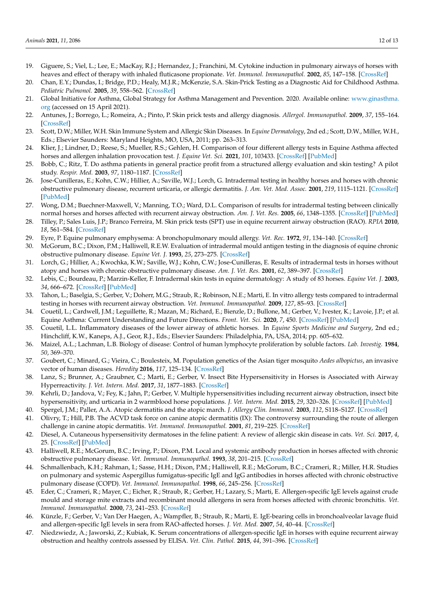- <span id="page-11-0"></span>19. Giguere, S.; Viel, L.; Lee, E.; MacKay, R.J.; Hernandez, J.; Franchini, M. Cytokine induction in pulmonary airways of horses with heaves and effect of therapy with inhaled fluticasone propionate. *Vet. Immunol. Immunopathol.* **2002**, *85*, 147–158. [\[CrossRef\]](http://doi.org/10.1016/S0165-2427(01)00420-2)
- <span id="page-11-1"></span>20. Chan, E.Y.; Dundas, I.; Bridge, P.D.; Healy, M.J.R.; McKenzie, S.A. Skin-Prick Testing as a Diagnostic Aid for Childhood Asthma. *Pediatric Pulmonol.* **2005**, *39*, 558–562. [\[CrossRef\]](http://doi.org/10.1002/ppul.20227)
- <span id="page-11-2"></span>21. Global Initiative for Asthma, Global Strategy for Asthma Management and Prevention. 2020. Available online: [www.ginasthma.](www.ginasthma.org) [org](www.ginasthma.org) (accessed on 15 April 2021).
- <span id="page-11-3"></span>22. Antunes, J.; Borrego, L.; Romeira, A.; Pinto, P. Skin prick tests and allergy diagnosis. *Allergol. Immunopathol.* **2009**, *37*, 155–164. [\[CrossRef\]](http://doi.org/10.1016/S0301-0546(09)71728-8)
- <span id="page-11-6"></span>23. Scott, D.W.; Miller, W.H. Skin Immune System and Allergic Skin Diseases. In *Equine Dermatology*, 2nd ed.; Scott, D.W., Miller, W.H., Eds.; Elsevier Saunders: Maryland Heights, MO, USA, 2011; pp. 263–313.
- <span id="page-11-4"></span>24. Klier, J.; Lindner, D.; Reese, S.; Mueller, R.S.; Gehlen, H. Comparison of four different allergy tests in Equine Asthma affected horses and allergen inhalation provocation test. *J. Equine Vet. Sci.* **2021**, *101*, 103433. [\[CrossRef\]](http://doi.org/10.1016/j.jevs.2021.103433) [\[PubMed\]](http://www.ncbi.nlm.nih.gov/pubmed/34119204)
- <span id="page-11-5"></span>25. Bobb, C.; Ritz, T. Do asthma patients in general practice profit from a structured allergy evaluation and skin testing? A pilot study. *Respir. Med.* **2003**, *97*, 1180–1187. [\[CrossRef\]](http://doi.org/10.1016/S0954-6111(03)00189-6)
- <span id="page-11-7"></span>26. Jose-Cunilleras, E.; Kohn, C.W.; Hillier, A.; Saville, W.J.; Lorch, G. Intradermal testing in healthy horses and horses with chronic obstructive pulmonary disease, recurrent urticaria, or allergic dermatitis. *J. Am. Vet. Med. Assoc.* **2001**, *219*, 1115–1121. [\[CrossRef\]](http://doi.org/10.2460/javma.2001.219.1115) [\[PubMed\]](http://www.ncbi.nlm.nih.gov/pubmed/11700711)
- <span id="page-11-8"></span>27. Wong, D.M.; Buechner-Maxwell, V.; Manning, T.O.; Ward, D.L. Comparison of results for intradermal testing between clinically normal horses and horses affected with recurrent airway obstruction. *Am. J. Vet. Res.* **2005**, *66*, 1348–1355. [\[CrossRef\]](http://doi.org/10.2460/ajvr.2005.66.1348) [\[PubMed\]](http://www.ncbi.nlm.nih.gov/pubmed/16173477)
- <span id="page-11-9"></span>28. Tilley, P.; Sales Luis, J.P.; Branco Ferreira, M. Skin prick tests (SPT) use in equine recurrent airway obstruction (RAO). *RPIA* **2010**, *18*, 561–584. [\[CrossRef\]](http://doi.org/10.1016/j.rvsc.2011.10.024)
- 29. Eyre, P. Equine pulmonary emphysema: A bronchopulmonary mould allergy. *Vet. Rec.* **1972**, *91*, 134–140. [\[CrossRef\]](http://doi.org/10.1136/vr.91.6.134)
- <span id="page-11-23"></span>30. McGorum, B.C.; Dixon, P.M.; Halliwell, R.E.W. Evaluation of intradermal mould antigen testing in the diagnosis of equine chronic obstructive pulmonary disease. *Equine Vet. J.* **1993**, *25*, 273–275. [\[CrossRef\]](http://doi.org/10.1111/j.2042-3306.1993.tb02962.x)
- <span id="page-11-14"></span>31. Lorch, G.; Hillier, A.; Kwochka, K.W.; Saville, W.J.; Kohn, C.W.; Jose-Cunilleras, E. Results of intradermal tests in horses without atopy and horses with chronic obstructive pulmonary disease. *Am. J. Vet. Res.* **2001**, *62*, 389–397. [\[CrossRef\]](http://doi.org/10.2460/ajvr.2001.62.389)
- <span id="page-11-10"></span>32. Lebis, C.; Bourdeau, P.; Marzin-Keller, F. Intradermal skin tests in equine dermatology: A study of 83 horses. *Equine Vet. J.* **2003**, *34*, 666–672. [\[CrossRef\]](http://doi.org/10.2746/042516402776250469) [\[PubMed\]](http://www.ncbi.nlm.nih.gov/pubmed/12455836)
- <span id="page-11-11"></span>33. Tahon, L.; Baselgia, S.; Gerber, V.; Doherr, M.G.; Straub, R.; Robinson, N.E.; Marti, E. In vitro allergy tests compared to intradermal testing in horses with recurrent airway obstruction. *Vet. Immunol. Immunopathol.* **2009**, *127*, 85–93. [\[CrossRef\]](http://doi.org/10.1016/j.vetimm.2008.09.021)
- <span id="page-11-12"></span>34. Couetil, L.; Cardwell, J.M.; Leguillette, R.; Mazan, M.; Richard, E.; Bienzle, D.; Bullone, M.; Gerber, V.; Ivester, K.; Lavoie, J.P.; et al. Equine Asthma: Current Understanding and Future Directions. *Front. Vet. Sci.* **2020**, *7*, 450. [\[CrossRef\]](http://doi.org/10.3389/fvets.2020.00450) [\[PubMed\]](http://www.ncbi.nlm.nih.gov/pubmed/32903600)
- <span id="page-11-13"></span>35. Couetil, L.L. Inflammatory diseases of the lower airway of athletic horses. In *Equine Sports Medicine and Surgery*, 2nd ed.; Hinchcliff, K.W., Kaneps, A.J., Geor, R.J., Eds.; Elsevier Saunders: Philadelphia, PA, USA, 2014; pp. 605–632.
- <span id="page-11-15"></span>36. Maizel, A.L.; Lachman, L.B. Biology of disease: Control of human lymphocyte proliferation by soluble factors. *Lab. Investig.* **1984**, *50*, 369–370.
- <span id="page-11-16"></span>37. Goubert, C.; Minard, G.; Vieira, C.; Boulesteix, M. Population genetics of the Asian tiger mosquito *Aedes albopictus*, an invasive vector of human diseases. *Heredity* **2016**, *117*, 125–134. [\[CrossRef\]](http://doi.org/10.1038/hdy.2016.35)
- <span id="page-11-17"></span>38. Lanz, S.; Brunner, A.; Graubner, C.; Marti, E.; Gerber, V. Insect Bite Hypersensitivity in Horses is Associated with Airway Hyperreactivity. *J. Vet. Intern. Med.* **2017**, *31*, 1877–1883. [\[CrossRef\]](http://doi.org/10.1111/jvim.14817)
- <span id="page-11-18"></span>39. Kehrli, D.; Jandova, V.; Fey, K.; Jahn, P.; Gerber, V. Multiple hypersensitivities including recurrent airway obstruction, insect bite hypersensitivity, and urticaria in 2 warmblood horse populations. *J. Vet. Intern. Med.* **2015**, *29*, 320–326. [\[CrossRef\]](http://doi.org/10.1111/jvim.12473) [\[PubMed\]](http://www.ncbi.nlm.nih.gov/pubmed/25270534)
- <span id="page-11-19"></span>40. Spergel, J.M.; Paller, A.A. Atopic dermatitis and the atopic march. *J. Allergy Clin. Immunol.* **2003**, *112*, S118–S127. [\[CrossRef\]](http://doi.org/10.1016/j.jaci.2003.09.033)
- <span id="page-11-20"></span>41. Olivry, T.; Hill, P.B. The ACVD task force on canine atopic dermatitis (IX): The controversy surrounding the route of allergen challenge in canine atopic dermatitis. *Vet. Immunol. Immunopathol.* **2001**, *81*, 219–225. [\[CrossRef\]](http://doi.org/10.1016/S0165-2427(01)00311-7)
- <span id="page-11-21"></span>42. Diesel, A. Cutaneous hypersensitivity dermatoses in the feline patient: A review of allergic skin disease in cats. *Vet. Sci.* **2017**, *4*, 25. [\[CrossRef\]](http://doi.org/10.3390/vetsci4020025) [\[PubMed\]](http://www.ncbi.nlm.nih.gov/pubmed/29056684)
- <span id="page-11-22"></span>43. Halliwell, R.E.; McGorum, B.C.; Irving, P.; Dixon, P.M. Local and systemic antibody production in horses affected with chronic obstructive pulmonary disease. *Vet. Immunol. Immunopathol.* **1993**, *38*, 201–215. [\[CrossRef\]](http://doi.org/10.1016/0165-2427(93)90081-E)
- 44. Schmallenbach, K.H.; Rahman, I.; Sasse, H.H.; Dixon, P.M.; Halliwell, R.E.; McGorum, B.C.; Crameri, R.; Miller, H.R. Studies on pulmonary and systemic Aspergillus fumigatus-specific IgE and IgG antibodies in horses affected with chronic obstructive pulmonary disease (COPD). *Vet. Immunol. Immunopathol.* **1998**, *66*, 245–256. [\[CrossRef\]](http://doi.org/10.1016/S0165-2427(98)00202-5)
- 45. Eder, C.; Crameri, R.; Mayer, C.; Eicher, R.; Straub, R.; Gerber, H.; Lazary, S.; Marti, E. Allergen-specific IgE levels against crude mould and storage mite extracts and recombinant mould allergens in sera from horses affected with chronic bronchitis. *Vet. Immunol. Immunopathol.* **2000**, *73*, 241–253. [\[CrossRef\]](http://doi.org/10.1016/S0165-2427(00)00154-9)
- 46. Künzle, F.; Gerber, V.; Van Der Haegen, A.; Wampfler, B.; Straub, R.; Marti, E. IgE-bearing cells in bronchoalveolar lavage fluid and allergen-specific IgE levels in sera from RAO-affected horses. *J. Vet. Med.* **2007**, *54*, 40–44. [\[CrossRef\]](http://doi.org/10.1111/j.1439-0442.2007.00870.x)
- 47. Niedzwiedz, A.; Jaworski, Z.; Kubiak, K. Serum concentrations of allergen-specific IgE in horses with equine recurrent airway obstruction and healthy controls assessed by ELISA. *Vet. Clin. Pathol.* **2015**, *44*, 391–396. [\[CrossRef\]](http://doi.org/10.1111/vcp.12274)